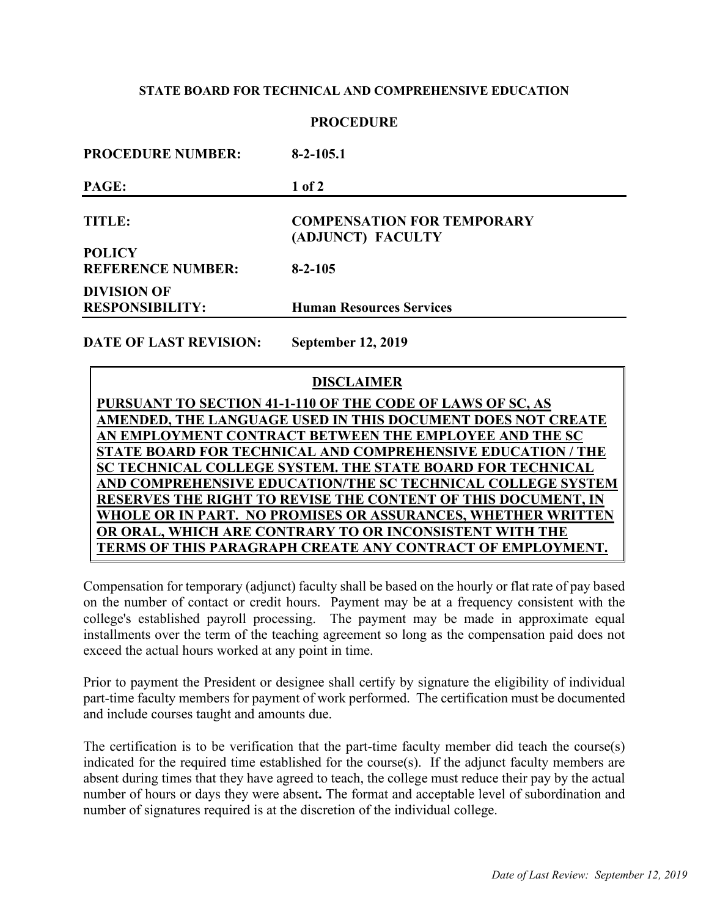### **STATE BOARD FOR TECHNICAL AND COMPREHENSIVE EDUCATION**

### **PROCEDURE**

| $8-2-105.1$                                            |  |
|--------------------------------------------------------|--|
| 1 of 2                                                 |  |
| <b>COMPENSATION FOR TEMPORARY</b><br>(ADJUNCT) FACULTY |  |
|                                                        |  |
| $8 - 2 - 105$                                          |  |
|                                                        |  |
| <b>Human Resources Services</b>                        |  |
|                                                        |  |

**DATE OF LAST REVISION: September 12, 2019**

# **DISCLAIMER**

**PURSUANT TO SECTION 41-1-110 OF THE CODE OF LAWS OF SC, AS AMENDED, THE LANGUAGE USED IN THIS DOCUMENT DOES NOT CREATE AN EMPLOYMENT CONTRACT BETWEEN THE EMPLOYEE AND THE SC STATE BOARD FOR TECHNICAL AND COMPREHENSIVE EDUCATION / THE SC TECHNICAL COLLEGE SYSTEM. THE STATE BOARD FOR TECHNICAL AND COMPREHENSIVE EDUCATION/THE SC TECHNICAL COLLEGE SYSTEM RESERVES THE RIGHT TO REVISE THE CONTENT OF THIS DOCUMENT, IN WHOLE OR IN PART. NO PROMISES OR ASSURANCES, WHETHER WRITTEN OR ORAL, WHICH ARE CONTRARY TO OR INCONSISTENT WITH THE TERMS OF THIS PARAGRAPH CREATE ANY CONTRACT OF EMPLOYMENT.**

Compensation for temporary (adjunct) faculty shall be based on the hourly or flat rate of pay based on the number of contact or credit hours. Payment may be at a frequency consistent with the college's established payroll processing. The payment may be made in approximate equal installments over the term of the teaching agreement so long as the compensation paid does not exceed the actual hours worked at any point in time.

Prior to payment the President or designee shall certify by signature the eligibility of individual part-time faculty members for payment of work performed. The certification must be documented and include courses taught and amounts due.

The certification is to be verification that the part-time faculty member did teach the course(s) indicated for the required time established for the course(s). If the adjunct faculty members are absent during times that they have agreed to teach, the college must reduce their pay by the actual number of hours or days they were absent**.** The format and acceptable level of subordination and number of signatures required is at the discretion of the individual college.